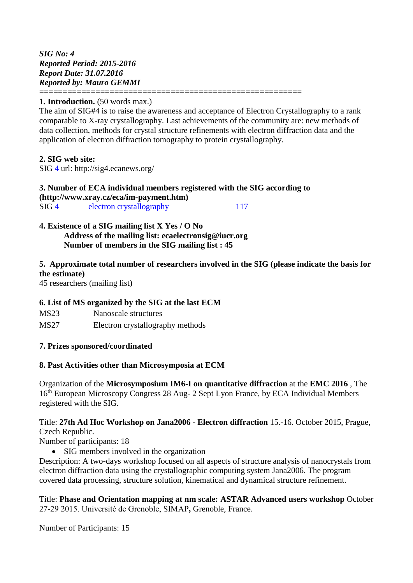*SIG No: 4 Reported Period: 2015-2016 Report Date: 31.07.2016 Reported by: Mauro GEMMI*

### **1. Introduction.** (50 words max.)

The aim of SIG#4 is to raise the awareness and acceptance of Electron Crystallography to a rank comparable to X-ray crystallography. Last achievements of the community are: new methods of data collection, methods for crystal structure refinements with electron diffraction data and the application of electron diffraction tomography to protein crystallography.

## **2. SIG web site:**

SIG 4 url: http://sig4.ecanews.org/

#### **3. Number of ECA individual members registered with the SIG according to [\(http://www.xray.cz/eca/im-payment.htm\)](http://www.xray.cz/eca/im-payment.htm)** SIG 4 electron crystallography 117

========================================================

#### **4. Existence of a SIG mailing list X Yes / O No Address of the mailing list: ecaelectronsig@iucr.org Number of members in the SIG mailing list : 45**

# **5. Approximate total number of researchers involved in the SIG (please indicate the basis for the estimate)**

45 researchers (mailing list)

# **6. List of MS organized by the SIG at the last ECM**

- MS23 Nanoscale structures
- MS27 Electron crystallography methods

### **7. Prizes sponsored/coordinated**

### **8. Past Activities other than Microsymposia at ECM**

Organization of the **Microsymposium IM6-I on quantitative diffraction** at the **EMC 2016** , The 16<sup>th</sup> European Microscopy Congress 28 Aug- 2 Sept Lyon France, by ECA Individual Members registered with the SIG.

Title: **27th Ad Hoc Workshop on Jana2006 - Electron diffraction** 15.-16. October 2015, Prague, Czech Republic.

Number of participants: 18

• SIG members involved in the organization

Description: A two-days workshop focused on all aspects of structure analysis of nanocrystals from electron diffraction data using the crystallographic computing system Jana2006. The program covered data processing, structure solution, kinematical and dynamical structure refinement.

Title: **Phase and Orientation mapping at nm scale: ASTAR Advanced users workshop** October 27-29 2015. Université de Grenoble, SIMAP**,** Grenoble, France.

Number of Participants: 15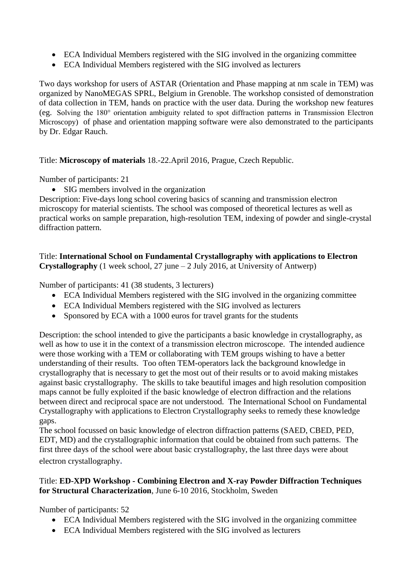- ECA Individual Members registered with the SIG involved in the organizing committee
- ECA Individual Members registered with the SIG involved as lecturers

Two days workshop for users of ASTAR (Orientation and Phase mapping at nm scale in TEM) was organized by NanoMEGAS SPRL, Belgium in Grenoble. The workshop consisted of demonstration of data collection in TEM, hands on practice with the user data. During the workshop new features (eg. Solving the 180° orientation ambiguity related to spot diffraction patterns in Transmission Electron Microscopy) of phase and orientation mapping software were also demonstrated to the participants by Dr. Edgar Rauch.

Title: **Microscopy of materials** 18.-22.April 2016, Prague, Czech Republic.

Number of participants: 21

• SIG members involved in the organization

Description: Five-days long school covering basics of scanning and transmission electron microscopy for material scientists. The school was composed of theoretical lectures as well as practical works on sample preparation, high-resolution TEM, indexing of powder and single-crystal diffraction pattern.

Title: **International School on Fundamental Crystallography with applications to Electron Crystallography** (1 week school, 27 june – 2 July 2016, at University of Antwerp)

Number of participants: 41 (38 students, 3 lecturers)

- ECA Individual Members registered with the SIG involved in the organizing committee
- ECA Individual Members registered with the SIG involved as lecturers
- Sponsored by ECA with a 1000 euros for travel grants for the students

Description: the school intended to give the participants a basic knowledge in crystallography, as well as how to use it in the context of a transmission electron microscope. The intended audience were those working with a TEM or collaborating with TEM groups wishing to have a better understanding of their results. Too often TEM-operators lack the background knowledge in crystallography that is necessary to get the most out of their results or to avoid making mistakes against basic crystallography. The skills to take beautiful images and high resolution composition maps cannot be fully exploited if the basic knowledge of electron diffraction and the relations between direct and reciprocal space are not understood. The International School on Fundamental Crystallography with applications to Electron Crystallography seeks to remedy these knowledge gaps.

The school focussed on basic knowledge of electron diffraction patterns (SAED, CBED, PED, EDT, MD) and the crystallographic information that could be obtained from such patterns. The first three days of the school were about basic crystallography, the last three days were about electron crystallography.

#### Title: **ED-XPD Workshop - Combining Electron and X-ray Powder Diffraction Techniques for Structural Characterization**, June 6-10 2016, Stockholm, Sweden

Number of participants: 52

- ECA Individual Members registered with the SIG involved in the organizing committee
- ECA Individual Members registered with the SIG involved as lecturers